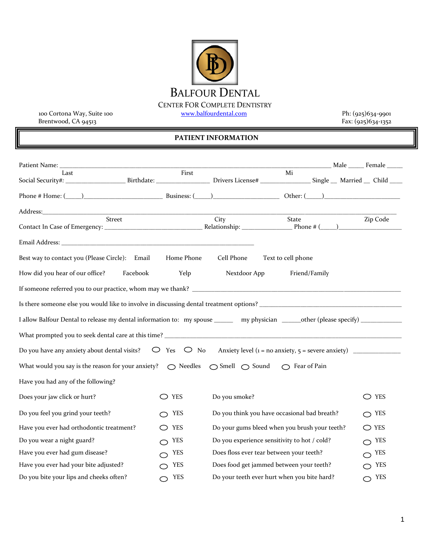## BALFOUR DENTAL

CENTER FOR COMPLETE DENTISTRY<br>www.balfourdental.com

100 Cortona Way, Suite 100 [www.balfourdental.com](http://www.balfourdental.com/) Ph: (925)634-9901 Brentwood, CA 94513 Fax: (925)634-1352

## **PATIENT INFORMATION**

| Last<br>Social Security#: ________________________Birthdate: ___________________Drivers License# ___________________Single ___ Married __ Child _____ | First                                                                                                                 |               | Mi                                            |  |                |  |
|-------------------------------------------------------------------------------------------------------------------------------------------------------|-----------------------------------------------------------------------------------------------------------------------|---------------|-----------------------------------------------|--|----------------|--|
|                                                                                                                                                       |                                                                                                                       |               |                                               |  |                |  |
| Phone # Home: $(\_\_\_\_\_\_\_$ Dusiness: $(\_\_\_\_\_\_$ Business: $(\_\_\_\_\_$ Other: $(\_\_\_\_\_$                                                |                                                                                                                       |               |                                               |  |                |  |
|                                                                                                                                                       | <u> 1989 - Johann John Stone, mars eta industrial eta industrial eta industrial eta industrial eta industrial eta</u> |               |                                               |  |                |  |
| Street                                                                                                                                                |                                                                                                                       | City          | State                                         |  | Zip Code       |  |
|                                                                                                                                                       |                                                                                                                       |               |                                               |  |                |  |
|                                                                                                                                                       |                                                                                                                       |               |                                               |  |                |  |
| Best way to contact you (Please Circle): Email                                                                                                        | Home Phone                                                                                                            | Cell Phone    | Text to cell phone                            |  |                |  |
| How did you hear of our office?<br>Facebook                                                                                                           | Yelp                                                                                                                  | Nextdoor App  | Friend/Family                                 |  |                |  |
| If someone referred you to our practice, whom may we thank?                                                                                           |                                                                                                                       |               |                                               |  |                |  |
|                                                                                                                                                       |                                                                                                                       |               |                                               |  |                |  |
| I allow Balfour Dental to release my dental information to: my spouse ______ my physician _____other (please specify) ______________                  |                                                                                                                       |               |                                               |  |                |  |
|                                                                                                                                                       |                                                                                                                       |               |                                               |  |                |  |
| $\bigcirc$ Yes $\bigcirc$ No<br>Do you have any anxiety about dental visits?                                                                          |                                                                                                                       |               |                                               |  |                |  |
| What would you say is the reason for your anxiety?<br>$\bigcirc$ Needles<br>$\bigcirc$ Smell $\bigcirc$ Sound $\bigcirc$ Fear of Pain                 |                                                                                                                       |               |                                               |  |                |  |
| Have you had any of the following?                                                                                                                    |                                                                                                                       |               |                                               |  |                |  |
| Does your jaw click or hurt?                                                                                                                          | $\bigcirc$ yes                                                                                                        | Do you smoke? |                                               |  | $\bigcirc$ yes |  |
| Do you feel you grind your teeth?                                                                                                                     | YES                                                                                                                   |               | Do you think you have occasional bad breath?  |  | $\cap$ YES     |  |
| Have you ever had orthodontic treatment?                                                                                                              | $\bigcirc$ YES                                                                                                        |               | Do your gums bleed when you brush your teeth? |  | $\bigcirc$ YES |  |
| Do you wear a night guard?                                                                                                                            | YES                                                                                                                   |               | Do you experience sensitivity to hot / cold?  |  | YES<br>⌒       |  |
| Have you ever had gum disease?                                                                                                                        | <b>YES</b>                                                                                                            |               | Does floss ever tear between your teeth?      |  | YES            |  |
| Have you ever had your bite adjusted?                                                                                                                 | <b>YES</b>                                                                                                            |               | Does food get jammed between your teeth?      |  | YES            |  |
| Do you bite your lips and cheeks often?                                                                                                               | <b>YES</b><br>⌒                                                                                                       |               | Do your teeth ever hurt when you bite hard?   |  | $\bigcirc$ YES |  |